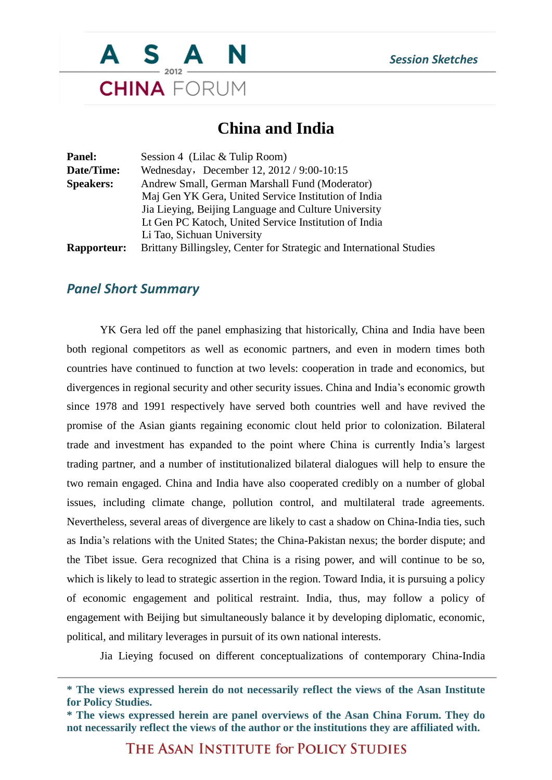

## **China and India**

| Panel:             | Session 4 (Lilac $&$ Tulip Room)                                     |
|--------------------|----------------------------------------------------------------------|
| Date/Time:         | Wednesday, December 12, 2012 / 9:00-10:15                            |
| <b>Speakers:</b>   | Andrew Small, German Marshall Fund (Moderator)                       |
|                    | Maj Gen YK Gera, United Service Institution of India                 |
|                    | Jia Lieying, Beijing Language and Culture University                 |
|                    | Lt Gen PC Katoch, United Service Institution of India                |
|                    | Li Tao, Sichuan University                                           |
| <b>Rapporteur:</b> | Brittany Billingsley, Center for Strategic and International Studies |

## *Panel Short Summary*

YK Gera led off the panel emphasizing that historically, China and India have been both regional competitors as well as economic partners, and even in modern times both countries have continued to function at two levels: cooperation in trade and economics, but divergences in regional security and other security issues. China and India's economic growth since 1978 and 1991 respectively have served both countries well and have revived the promise of the Asian giants regaining economic clout held prior to colonization. Bilateral trade and investment has expanded to the point where China is currently India's largest trading partner, and a number of institutionalized bilateral dialogues will help to ensure the two remain engaged. China and India have also cooperated credibly on a number of global issues, including climate change, pollution control, and multilateral trade agreements. Nevertheless, several areas of divergence are likely to cast a shadow on China-India ties, such as India's relations with the United States; the China-Pakistan nexus; the border dispute; and the Tibet issue. Gera recognized that China is a rising power, and will continue to be so, which is likely to lead to strategic assertion in the region. Toward India, it is pursuing a policy of economic engagement and political restraint. India, thus, may follow a policy of engagement with Beijing but simultaneously balance it by developing diplomatic, economic, political, and military leverages in pursuit of its own national interests.

Jia Lieying focused on different conceptualizations of contemporary China-India

THE ASAN INSTITUTE for POLICY STUDIES

**<sup>\*</sup> The views expressed herein do not necessarily reflect the views of the Asan Institute for Policy Studies.**

**<sup>\*</sup> The views expressed herein are panel overviews of the Asan China Forum. They do not necessarily reflect the views of the author or the institutions they are affiliated with.**